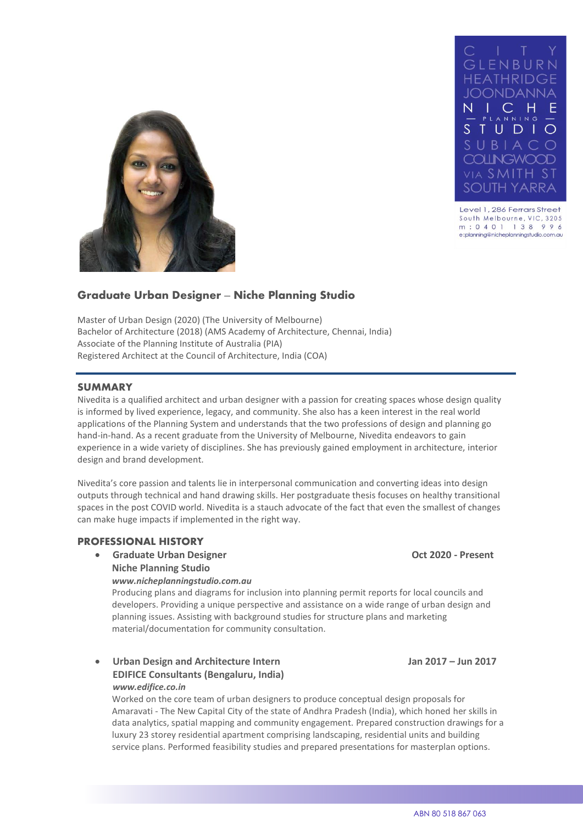

Level 1, 286 Ferrars Street South Melbourne, VIC, 3205 m: 0401 138 996 e:planning@nicheplanningstudio.com.au



# **Graduate Urban Designer – Niche Planning Studio**

Master of Urban Design (2020) (The University of Melbourne) Bachelor of Architecture (2018) (AMS Academy of Architecture, Chennai, India) Associate of the Planning Institute of Australia (PIA) Registered Architect at the Council of Architecture, India (COA)

#### **SUMMARY**

Nivedita is a qualified architect and urban designer with a passion for creating spaces whose design quality is informed by lived experience, legacy, and community. She also has a keen interest in the real world applications of the Planning System and understands that the two professions of design and planning go hand-in-hand. As a recent graduate from the University of Melbourne, Nivedita endeavors to gain experience in a wide variety of disciplines. She has previously gained employment in architecture, interior design and brand development.

Nivedita's core passion and talents lie in interpersonal communication and converting ideas into design outputs through technical and hand drawing skills. Her postgraduate thesis focuses on healthy transitional spaces in the post COVID world. Nivedita is a stauch advocate of the fact that even the smallest of changes can make huge impacts if implemented in the right way.

#### **PROFESSIONAL HISTORY**

• **Graduate Urban Designer Oct 2020 - Present Niche Planning Studio**

*www.nicheplanningstudio.com.au* 

Producing plans and diagrams for inclusion into planning permit reports for local councils and developers. Providing a unique perspective and assistance on a wide range of urban design and planning issues. Assisting with background studies for structure plans and marketing material/documentation for community consultation.

• **Urban Design and Architecture Intern Jan 2017 – Jun 2017 EDIFICE Consultants (Bengaluru, India)** *www.edifice.co.in*

Worked on the core team of urban designers to produce conceptual design proposals for Amaravati - The New Capital City of the state of Andhra Pradesh (India), which honed her skills in data analytics, spatial mapping and community engagement. Prepared construction drawings for a luxury 23 storey residential apartment comprising landscaping, residential units and building service plans. Performed feasibility studies and prepared presentations for masterplan options.